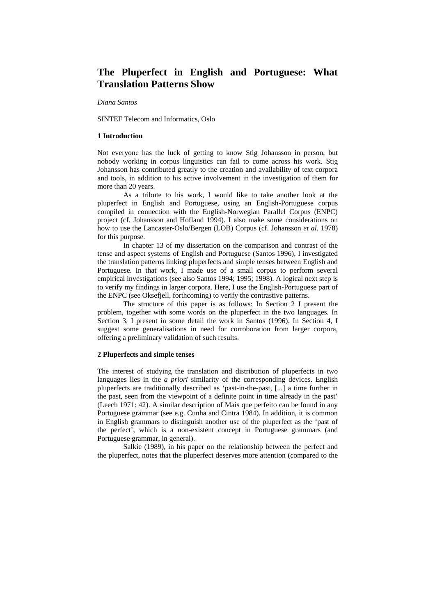# **The Pluperfect in English and Portuguese: What Translation Patterns Show**

*Diana Santos* 

SINTEF Telecom and Informatics, Oslo

#### **1 Introduction**

Not everyone has the luck of getting to know Stig Johansson in person, but nobody working in corpus linguistics can fail to come across his work. Stig Johansson has contributed greatly to the creation and availability of text corpora and tools, in addition to his active involvement in the investigation of them for more than 20 years.

As a tribute to his work, I would like to take another look at the pluperfect in English and Portuguese, using an English-Portuguese corpus compiled in connection with the English-Norwegian Parallel Corpus (ENPC) project (cf. Johansson and Hofland 1994). I also make some considerations on how to use the Lancaster-Oslo/Bergen (LOB) Corpus (cf. Johansson *et al*. 1978) for this purpose.

In chapter 13 of my dissertation on the comparison and contrast of the tense and aspect systems of English and Portuguese (Santos 1996), I investigated the translation patterns linking pluperfects and simple tenses between English and Portuguese. In that work, I made use of a small corpus to perform several empirical investigations (see also Santos 1994; 1995; 1998). A logical next step is to verify my findings in larger corpora. Here, I use the English-Portuguese part of the ENPC (see Oksefjell, forthcoming) to verify the contrastive patterns.

The structure of this paper is as follows: In Section 2 I present the problem, together with some words on the pluperfect in the two languages. In Section 3, I present in some detail the work in Santos (1996). In Section 4, I suggest some generalisations in need for corroboration from larger corpora, offering a preliminary validation of such results.

#### **2 Pluperfects and simple tenses**

The interest of studying the translation and distribution of pluperfects in two languages lies in the *a priori* similarity of the corresponding devices. English pluperfects are traditionally described as 'past-in-the-past, [...] a time further in the past, seen from the viewpoint of a definite point in time already in the past' (Leech 1971: 42). A similar description of Mais que perfeito can be found in any Portuguese grammar (see e.g. Cunha and Cintra 1984). In addition, it is common in English grammars to distinguish another use of the pluperfect as the 'past of the perfect', which is a non-existent concept in Portuguese grammars (and Portuguese grammar, in general).

Salkie (1989), in his paper on the relationship between the perfect and the pluperfect, notes that the pluperfect deserves more attention (compared to the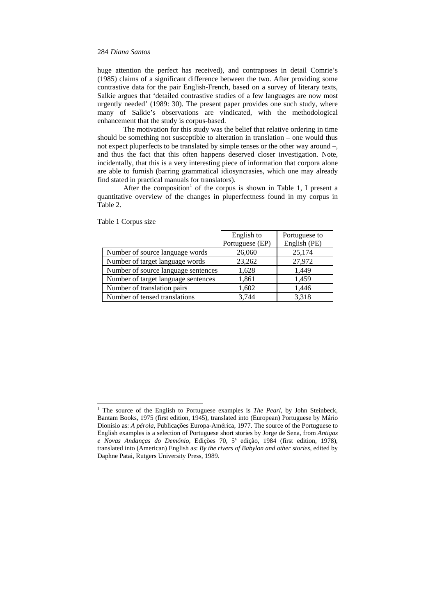huge attention the perfect has received), and contraposes in detail Comrie's (1985) claims of a significant difference between the two. After providing some contrastive data for the pair English-French, based on a survey of literary texts, Salkie argues that 'detailed contrastive studies of a few languages are now most urgently needed' (1989: 30). The present paper provides one such study, where many of Salkie's observations are vindicated, with the methodological enhancement that the study is corpus-based.

The motivation for this study was the belief that relative ordering in time should be something not susceptible to alteration in translation – one would thus not expect pluperfects to be translated by simple tenses or the other way around –, and thus the fact that this often happens deserved closer investigation. Note, incidentally, that this is a very interesting piece of information that corpora alone are able to furnish (barring grammatical idiosyncrasies, which one may already find stated in practical manuals for translators).

After the composition<sup>1</sup> of the corpus is shown in Table 1, I present a quantitative overview of the changes in pluperfectness found in my corpus in Table 2.

|                                     | English to      | Portuguese to |
|-------------------------------------|-----------------|---------------|
|                                     | Portuguese (EP) | English (PE)  |
| Number of source language words     | 26,060          | 25,174        |
| Number of target language words     | 23,262          | 27,972        |
| Number of source language sentences | 1.628           | 1.449         |
| Number of target language sentences | 1,861           | 1,459         |
| Number of translation pairs         | 1,602           | 1,446         |
| Number of tensed translations       | 3.744           | 3,318         |

Table 1 Corpus size

<sup>&</sup>lt;sup>1</sup> The source of the English to Portuguese examples is *The Pearl*, by John Steinbeck, Bantam Books, 1975 (first edition, 1945), translated into (European) Portuguese by Mário Dionísio as: *A pérola*, Publicações Europa-América, 1977. The source of the Portuguese to English examples is a selection of Portuguese short stories by Jorge de Sena, from *Antigas e Novas Andanças do Demónio*, Edições 70, 5ª edição, 1984 (first edition, 1978), translated into (American) English as: *By the rivers of Babylon and other stories*, edited by Daphne Patai, Rutgers University Press, 1989.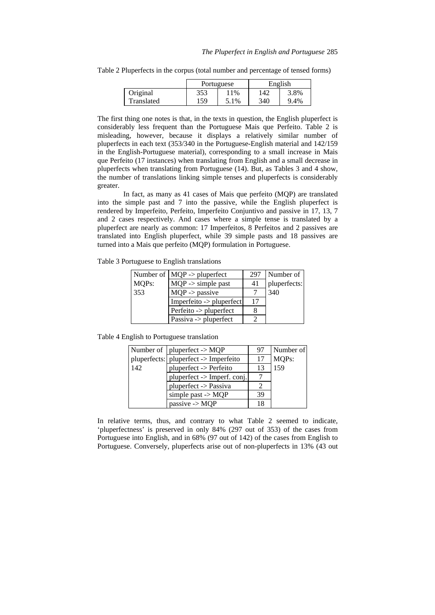|            |     | Portuguese | English |      |  |
|------------|-----|------------|---------|------|--|
| Original   | 353 | 11%        | 142     | 3.8% |  |
| Translated | 159 | 5.1%       | 340     | 9.4% |  |

Table 2 Pluperfects in the corpus (total number and percentage of tensed forms)

The first thing one notes is that, in the texts in question, the English pluperfect is considerably less frequent than the Portuguese Mais que Perfeito. Table 2 is misleading, however, because it displays a relatively similar number of pluperfects in each text (353/340 in the Portuguese-English material and 142/159 in the English-Portuguese material), corresponding to a small increase in Mais que Perfeito (17 instances) when translating from English and a small decrease in pluperfects when translating from Portuguese (14). But, as Tables 3 and 4 show, the number of translations linking simple tenses and pluperfects is considerably greater.

In fact, as many as 41 cases of Mais que perfeito (MQP) are translated into the simple past and 7 into the passive, while the English pluperfect is rendered by Imperfeito, Perfeito, Imperfeito Conjuntivo and passive in 17, 13, 7 and 2 cases respectively. And cases where a simple tense is translated by a pluperfect are nearly as common: 17 Imperfeitos, 8 Perfeitos and 2 passives are translated into English pluperfect, while 39 simple pasts and 18 passives are turned into a Mais que perfeito (MQP) formulation in Portuguese.

Table 3 Portuguese to English translations

|       | Number of   MQP -> pluperfect | 297 | Number of    |
|-------|-------------------------------|-----|--------------|
| MQPs: | $MQP$ -> simple past          | 41  | pluperfects: |
| 353   | $MQP \rightarrow$ passive     |     | 340          |
|       | Imperfeito -> pluperfect      | 17  |              |
|       | Perfeito -> pluperfect        |     |              |
|       | Passiva -> pluperfect         |     |              |

Table 4 English to Portuguese translation

|     | Number of $ $ pluperfect -> MQP       | 97 | Number of |
|-----|---------------------------------------|----|-----------|
|     | pluperfects: pluperfect -> Imperfeito | 17 | MQPs:     |
| 142 | pluperfect -> Perfeito                | 13 | 159       |
|     | pluperfect -> Imperf. conj.           |    |           |
|     | pluperfect -> Passiva                 |    |           |
|     | simple past $\rightarrow$ MQP         | 39 |           |
|     | passive $\rightarrow$ MQP             | 18 |           |

In relative terms, thus, and contrary to what Table 2 seemed to indicate, 'pluperfectness' is preserved in only 84% (297 out of 353) of the cases from Portuguese into English, and in 68% (97 out of 142) of the cases from English to Portuguese. Conversely, pluperfects arise out of non-pluperfects in 13% (43 out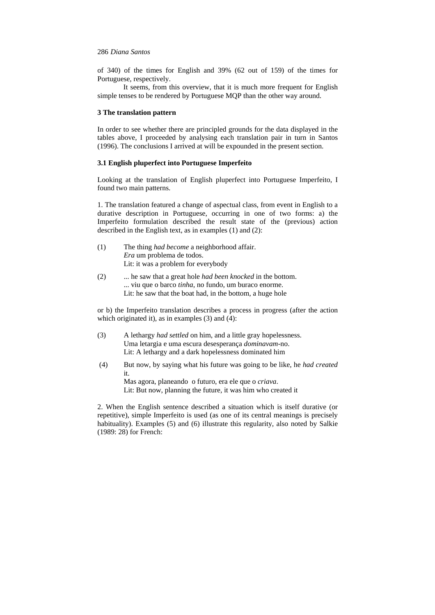of 340) of the times for English and 39% (62 out of 159) of the times for Portuguese, respectively.

It seems, from this overview, that it is much more frequent for English simple tenses to be rendered by Portuguese MQP than the other way around.

#### **3 The translation pattern**

In order to see whether there are principled grounds for the data displayed in the tables above, I proceeded by analysing each translation pair in turn in Santos (1996). The conclusions I arrived at will be expounded in the present section.

## **3.1 English pluperfect into Portuguese Imperfeito**

Looking at the translation of English pluperfect into Portuguese Imperfeito, I found two main patterns.

1. The translation featured a change of aspectual class, from event in English to a durative description in Portuguese, occurring in one of two forms: a) the Imperfeito formulation described the result state of the (previous) action described in the English text, as in examples (1) and (2):

| (1) | The thing <i>had become</i> a neighborhood affair. |
|-----|----------------------------------------------------|
|     | Era um problema de todos.                          |
|     | Lit: it was a problem for everybody                |

(2) ... he saw that a great hole *had been knocked* in the bottom. ... viu que o barco *tinha*, no fundo, um buraco enorme. Lit: he saw that the boat had, in the bottom, a huge hole

or b) the Imperfeito translation describes a process in progress (after the action which originated it), as in examples (3) and (4):

- (3) A lethargy *had settled* on him, and a little gray hopelessness. Uma letargia e uma escura desesperança *dominavam*-no. Lit: A lethargy and a dark hopelessness dominated him
- (4) But now, by saying what his future was going to be like, he *had created* it. Mas agora, planeando o futuro, era ele que o *criava*. Lit: But now, planning the future, it was him who created it

2. When the English sentence described a situation which is itself durative (or repetitive), simple Imperfeito is used (as one of its central meanings is precisely habituality). Examples (5) and (6) illustrate this regularity, also noted by Salkie (1989: 28) for French: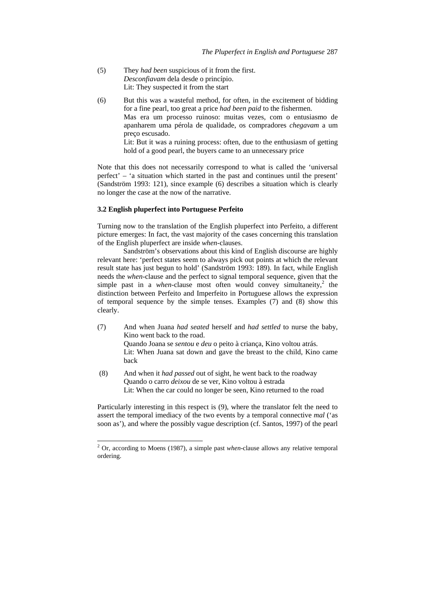- (5) They *had been* suspicious of it from the first. *Desconfiavam* dela desde o princípio. Lit: They suspected it from the start
- (6) But this was a wasteful method, for often, in the excitement of bidding for a fine pearl, too great a price *had been paid* to the fishermen. Mas era um processo ruinoso: muitas vezes, com o entusiasmo de apanharem uma pérola de qualidade, os compradores *chegavam* a um preço escusado. Lit: But it was a ruining process: often, due to the enthusiasm of getting hold of a good pearl, the buyers came to an unnecessary price

Note that this does not necessarily correspond to what is called the 'universal perfect' – 'a situation which started in the past and continues until the present' (Sandström 1993: 121), since example (6) describes a situation which is clearly no longer the case at the now of the narrative.

#### **3.2 English pluperfect into Portuguese Perfeito**

Turning now to the translation of the English pluperfect into Perfeito, a different picture emerges: In fact, the vast majority of the cases concerning this translation of the English pluperfect are inside *when*-clauses.

Sandström's observations about this kind of English discourse are highly relevant here: 'perfect states seem to always pick out points at which the relevant result state has just begun to hold' (Sandström 1993: 189). In fact, while English needs the *when*-clause and the perfect to signal temporal sequence, given that the simple past in a *when*-clause most often would convey simultaneity,<sup>2</sup> the distinction between Perfeito and Imperfeito in Portuguese allows the expression of temporal sequence by the simple tenses. Examples (7) and (8) show this clearly.

- (7) And when Juana *had seated* herself and *had settled* to nurse the baby, Kino went back to the road. Quando Joana se *sentou* e *deu* o peito à criança, Kino voltou atrás. Lit: When Juana sat down and gave the breast to the child, Kino came back
- (8) And when it *had passed* out of sight, he went back to the roadway Quando o carro *deixou* de se ver, Kino voltou à estrada Lit: When the car could no longer be seen, Kino returned to the road

Particularly interesting in this respect is (9), where the translator felt the need to assert the temporal imediacy of the two events by a temporal connective *mal* ('as soon as'), and where the possibly vague description (cf. Santos, 1997) of the pearl

 2 Or, according to Moens (1987), a simple past *when*-clause allows any relative temporal ordering.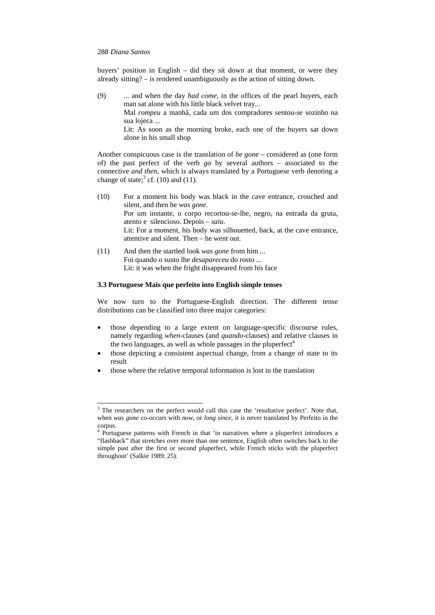buyers' position in English – did they sit down at that moment, or were they already sitting? – is rendered unambiguously as the action of sitting down.

(9) ... and when the day *had come*, in the offices of the pearl buyers, each man sat alone with his little black velvet tray...

Mal *rompeu* a manhã, cada um dos compradores sentou-se sozinho na sua lojeca ...

Lit: As soon as the morning broke, each one of the buyers sat down alone in his small shop

Another conspicuous case is the translation of *be gone* – considered as (one form of) the past perfect of the verb *go* by several authors – associated to the connective *and then*, which is always translated by a Portuguese verb denoting a change of state;<sup>3</sup> cf. (10) and (11).

| (10) | For a moment his body was black in the cave entrance, crouched and       |
|------|--------------------------------------------------------------------------|
|      | silent, and then he was gone.                                            |
|      | Por um instante, o corpo recortou-se-lhe, negro, na entrada da gruta,    |
|      | atento e silencioso. Depois – saiu.                                      |
|      | Lit: For a moment, his body was silhouetted, back, at the cave entrance, |
|      | attentive and silent. Then – he went out.                                |
|      |                                                                          |

(11) And then the startled look *was gone* from him ... Foi quando o susto lhe *desapareceu* do rosto ... Lit: it was when the fright disappeared from his face

# **3.3 Portuguese Mais que perfeito into English simple tenses**

We now turn to the Portuguese-English direction. The different tense distributions can be classified into three major categories:

- those depending to a large extent on language-specific discourse rules, namely regarding *when*-clauses (and *quando*-clauses) and relative clauses in the two languages, as well as whole passages in the pluperfect<sup>4</sup>
- those depicting a consistent aspectual change, from a change of state to its result
- those where the relative temporal information is lost in the translation

<sup>&</sup>lt;sup>3</sup> The researchers on the perfect would call this case the 'resultative perfect'. Note that, when *was gone* co-occurs with *now*, or *long since*, it is never translated by Perfeito in the corpus.

<sup>&</sup>lt;sup>4</sup> Portuguese patterns with French in that 'in narratives where a pluperfect introduces a "flashback" that stretches over more than one sentence, English often switches back to the simple past after the first or second pluperfect, while French sticks with the pluperfect throughout' (Salkie 1989: 25).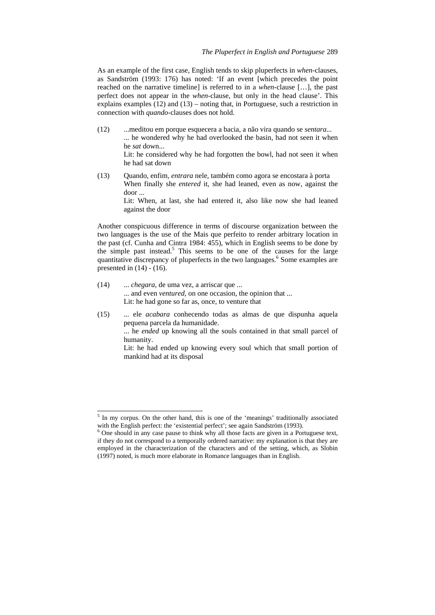As an example of the first case, English tends to skip pluperfects in *when*-clauses, as Sandström (1993: 176) has noted: 'If an event [which precedes the point reached on the narrative timeline] is referred to in a *when*-clause […], the past perfect does not appear in the *when*-clause, but only in the head clause'. This explains examples (12) and (13) – noting that, in Portuguese, such a restriction in connection with *quando*-clauses does not hold.

- (12) ...meditou em porque esquecera a bacia, a não vira quando se *sentara...* ... he wondered why he had overlooked the basin, had not seen it when he *sat* down... Lit: he considered why he had forgotten the bowl, had not seen it when he had sat down
- (13) Quando, enfim, *entrara* nele, também como agora se encostara à porta When finally she *entered* it, she had leaned, even as now, against the door ... Lit: When, at last, she had entered it, also like now she had leaned against the door

Another conspicuous difference in terms of discourse organization between the two languages is the use of the Mais que perfeito to render arbitrary location in the past (cf. Cunha and Cintra 1984: 455), which in English seems to be done by the simple past instead.<sup>5</sup> This seems to be one of the causes for the large quantitative discrepancy of pluperfects in the two languages.<sup>6</sup> Some examples are presented in  $(14) - (16)$ .

(14) ... *chegara*, de uma vez, a arriscar que ... ... and even *ventured*, on one occasion, the opinion that ... Lit: he had gone so far as, once, to venture that

l

(15) ... ele *acabara* conhecendo todas as almas de que dispunha aquela pequena parcela da humanidade. ... he *ended* up knowing all the souls contained in that small parcel of humanity. Lit: he had ended up knowing every soul which that small portion of mankind had at its disposal

<sup>&</sup>lt;sup>5</sup> In my corpus. On the other hand, this is one of the 'meanings' traditionally associated with the English perfect: the 'existential perfect'; see again Sandström (1993).

 $6$  One should in any case pause to think why all those facts are given in a Portuguese text, if they do not correspond to a temporally ordered narrative: my explanation is that they are employed in the characterization of the characters and of the setting, which, as Slobin (1997) noted, is much more elaborate in Romance languages than in English.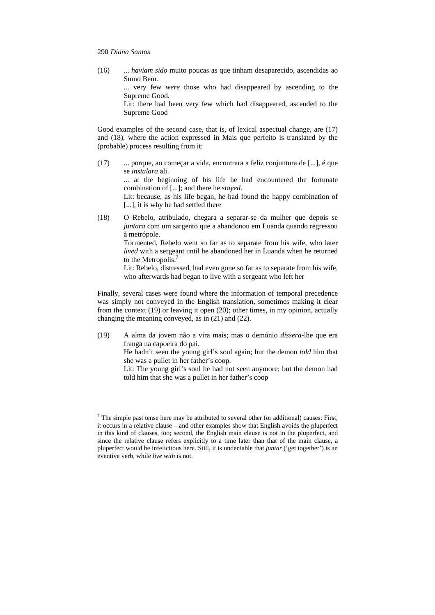l

(16) ... *haviam sido* muito poucas as que tinham desaparecido, ascendidas ao Sumo Bem.

> ... very few *were* those who had disappeared by ascending to the Supreme Good.

> Lit: there had been very few which had disappeared, ascended to the Supreme Good

Good examples of the second case, that is, of lexical aspectual change, are (17) and (18), where the action expressed in Mais que perfeito is translated by the (probable) process resulting from it:

(17) ... porque, ao começar a vida, encontrara a feliz conjuntura de [...], é que se *instalara* ali.

> ... at the beginning of his life he had encountered the fortunate combination of [...]; and there he *stayed*.

> Lit: because, as his life began, he had found the happy combination of [...], it is why he had settled there

(18) O Rebelo, atribulado, chegara a separar-se da mulher que depois se *juntara* com um sargento que a abandonou em Luanda quando regressou à metrópole.

Tormented, Rebelo went so far as to separate from his wife, who later *lived* with a sergeant until he abandoned her in Luanda when he returned to the Metropolis.<sup>7</sup>

Lit: Rebelo, distressed, had even gone so far as to separate from his wife, who afterwards had began to live with a sergeant who left her

Finally, several cases were found where the information of temporal precedence was simply not conveyed in the English translation, sometimes making it clear from the context (19) or leaving it open (20); other times, in my opinion, actually changing the meaning conveyed, as in (21) and (22).

(19) A alma da jovem não a vira mais; mas o demónio *dissera*-lhe que era franga na capoeira do pai.

He hadn't seen the young girl's soul again; but the demon *told* him that she was a pullet in her father's coop.

Lit: The young girl's soul he had not seen anymore; but the demon had told him that she was a pullet in her father's coop

 $<sup>7</sup>$  The simple past tense here may be attributed to several other (or additional) causes: First,</sup> it occurs in a relative clause – and other examples show that English avoids the pluperfect in this kind of clauses, too; second, the English main clause is not in the pluperfect, and since the relative clause refers explicitly to a time later than that of the main clause, a pluperfect would be infelicitous here. Still, it is undeniable that *juntar* ('get together') is an eventive verb, while *live with* is not.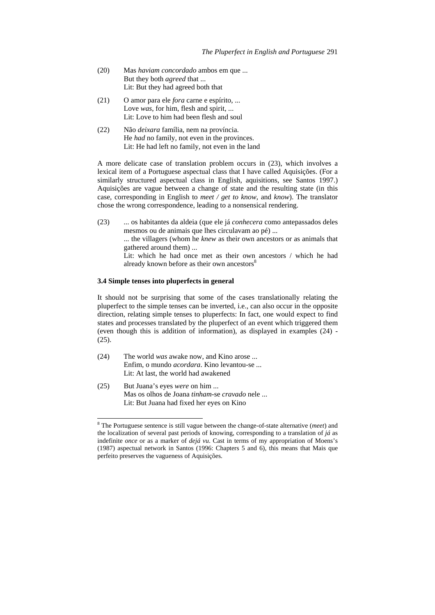- (20) Mas *haviam concordado* ambos em que ... But they both *agreed* that ... Lit: But they had agreed both that
- (21) O amor para ele *fora* carne e espírito, ... Love *was*, for him, flesh and spirit, ... Lit: Love to him had been flesh and soul
- (22) Não *deixara* família, nem na província. He *had* no family, not even in the provinces. Lit: He had left no family, not even in the land

A more delicate case of translation problem occurs in (23), which involves a lexical item of a Portuguese aspectual class that I have called Aquisições. (For a similarly structured aspectual class in English, aquisitions, see Santos 1997.) Aquisições are vague between a change of state and the resulting state (in this case, corresponding in English to *meet / get to know*, and *know*). The translator chose the wrong correspondence, leading to a nonsensical rendering.

(23) ... os habitantes da aldeia (que ele já *conhecera* como antepassados deles mesmos ou de animais que lhes circulavam ao pé) ... ... the villagers (whom he *knew* as their own ancestors or as animals that gathered around them) ...

> Lit: which he had once met as their own ancestors / which he had already known before as their own ancestors<sup>8</sup>

#### **3.4 Simple tenses into pluperfects in general**

It should not be surprising that some of the cases translationally relating the pluperfect to the simple tenses can be inverted, i.e., can also occur in the opposite direction, relating simple tenses to pluperfects: In fact, one would expect to find states and processes translated by the pluperfect of an event which triggered them (even though this is addition of information), as displayed in examples (24) - (25).

- (24) The world *was* awake now, and Kino arose ... Enfim, o mundo *acordara*. Kino levantou-se ... Lit: At last, the world had awakened
- (25) But Juana's eyes *were* on him ... Mas os olhos de Joana *tinham*-se *cravado* nele ... Lit: But Juana had fixed her eyes on Kino

l

<sup>8</sup> The Portuguese sentence is still vague between the change-of-state alternative (*meet*) and the localization of several past periods of knowing, corresponding to a translation of *já* as indefinite *once* or as a marker of *dejá vu*. Cast in terms of my appropriation of Moens's (1987) aspectual network in Santos (1996: Chapters 5 and 6), this means that Mais que perfeito preserves the vagueness of Aquisições.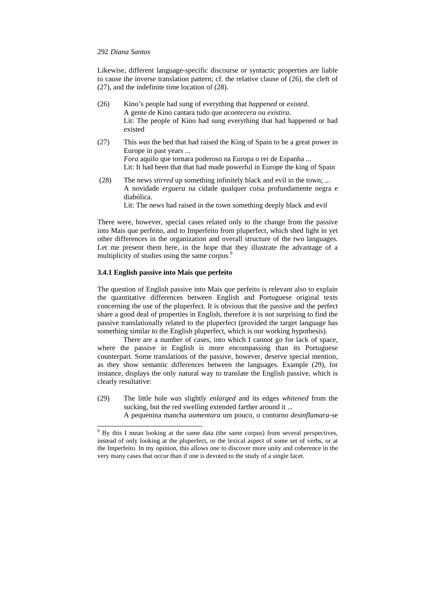Likewise, different language-specific discourse or syntactic properties are liable to cause the inverse translation pattern; cf. the relative clause of (26), the cleft of (27), and the indefinite time location of (28).

- (26) Kino's people had sung of everything that *happened* or *existed*. A gente de Kino cantara tudo que *acontecera* ou *existira*. Lit: The people of Kino had sung everything that had happened or had existed
- (27) This *was* the bed that had raised the King of Spain to be a great power in Europe in past years ... *Fora* aquilo que tornara poderoso na Europa o rei de Espanha ... Lit: It had been that that had made powerful in Europe the king of Spain
- (28) The news *stirred* up something infinitely black and evil in the town; ... A novidade *erguera* na cidade qualquer coisa profundamente negra e diabólica.

Lit: The news had raised in the town something deeply black and evil

There were, however, special cases related only to the change from the passive into Mais que perfeito, and to Imperfeito from pluperfect, which shed light in yet other differences in the organization and overall structure of the two languages. Let me present them here, in the hope that they illustrate the advantage of a multiplicity of studies using the same corpus.<sup>9</sup>

#### **3.4.1 English passive into Mais que perfeito**

The question of English passive into Mais que perfeito is relevant also to explain the quantitative differences between English and Portuguese original texts concerning the use of the pluperfect. It is obvious that the passive and the perfect share a good deal of properties in English, therefore it is not surprising to find the passive translationally related to the pluperfect (provided the target language has something similar to the English pluperfect, which is our working hypothesis).

There are a number of cases, into which I cannot go for lack of space, where the passive in English is more encompassing than its Portuguese counterpart. Some translations of the passive, however, deserve special mention, as they show semantic differences between the languages. Example (29), for instance, displays the only natural way to translate the English passive, which is clearly resultative:

- (29) The little hole *was* slightly *enlarged* and its edges *whitened* from the sucking, but the red swelling extended farther around it ...
	- A pequenina mancha *aumentara* um pouco, o contorno *desinflamara*-se

<sup>&</sup>lt;sup>9</sup> By this I mean looking at the same data (the same corpus) from several perspectives, instead of only looking at the pluperfect, or the lexical aspect of some set of verbs, or at the Imperfeito. In my opinion, this allows one to discover more unity and coherence in the very many cases that occur than if one is devoted to the study of a single facet.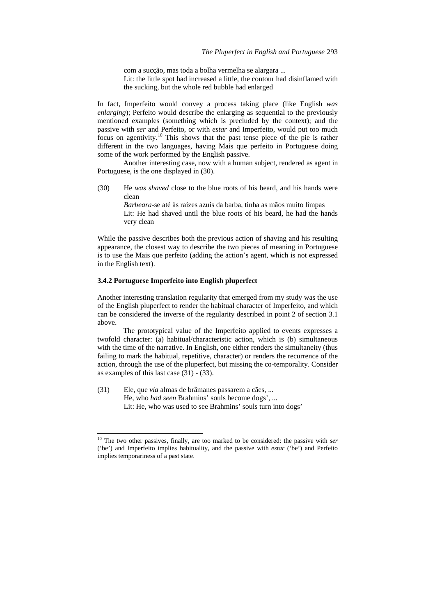com a sucção, mas toda a bolha vermelha se alargara ... Lit: the little spot had increased a little, the contour had disinflamed with the sucking, but the whole red bubble had enlarged

In fact, Imperfeito would convey a process taking place (like English *was enlarging*); Perfeito would describe the enlarging as sequential to the previously mentioned examples (something which is precluded by the context); and the passive with *ser* and Perfeito, or with *estar* and Imperfeito, would put too much focus on agentivity.10 This shows that the past tense piece of the pie is rather different in the two languages, having Mais que perfeito in Portuguese doing some of the work performed by the English passive.

Another interesting case, now with a human subject, rendered as agent in Portuguese, is the one displayed in (30).

(30) He *was shaved* close to the blue roots of his beard, and his hands were clean

> *Barbeara*-se até às raízes azuis da barba, tinha as mãos muito limpas Lit: He had shaved until the blue roots of his beard, he had the hands very clean

While the passive describes both the previous action of shaving and his resulting appearance, the closest way to describe the two pieces of meaning in Portuguese is to use the Mais que perfeito (adding the action's agent, which is not expressed in the English text).

#### **3.4.2 Portuguese Imperfeito into English pluperfect**

Another interesting translation regularity that emerged from my study was the use of the English pluperfect to render the habitual character of Imperfeito, and which can be considered the inverse of the regularity described in point 2 of section 3.1 above.

The prototypical value of the Imperfeito applied to events expresses a twofold character: (a) habitual/characteristic action, which is (b) simultaneous with the time of the narrative. In English, one either renders the simultaneity (thus failing to mark the habitual, repetitive, character) or renders the recurrence of the action, through the use of the pluperfect, but missing the co-temporality. Consider as examples of this last case (31) - (33).

(31) Ele, que *via* almas de brâmanes passarem a cães, ... He, who *had seen* Brahmins' souls become dogs', ... Lit: He, who was used to see Brahmins' souls turn into dogs'

l

<sup>10</sup> The two other passives, finally, are too marked to be considered: the passive with *ser* ('be') and Imperfeito implies habituality, and the passive with *estar* ('be') and Perfeito implies temporariness of a past state.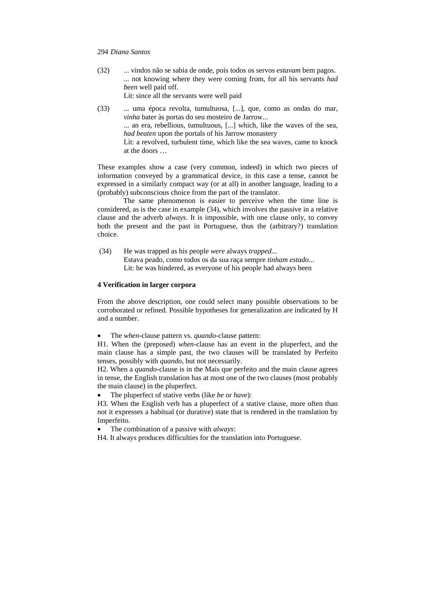(32) ... vindos não se sabia de onde, pois todos os servos *estavam* bem pagos. ... not knowing where they were coming from, for all his servants *had been* well paid off.

Lit: since all the servants were well paid

(33) ... uma época revolta, tumultuosa, [...], que, como as ondas do mar, *vinha* bater às portas do seu mosteiro de Jarrow... ... an era, rebellious, tumultuous, [...] which, like the waves of the sea, *had beaten* upon the portals of his Jarrow monastery Lit: a revolved, turbulent time, which like the sea waves, came to knock at the doors …

These examples show a case (very common, indeed) in which two pieces of information conveyed by a grammatical device, in this case a tense, cannot be expressed in a similarly compact way (or at all) in another language, leading to a (probably) subconscious choice from the part of the translator.

The same phenomenon is easier to perceive when the time line is considered, as is the case in example (34), which involves the passive in a relative clause and the adverb *always*. It is impossible, with one clause only, to convey both the present and the past in Portuguese, thus the (arbitrary?) translation choice.

 (34) He was trapped as his people *were* always *trapped*... Estava peado, como todos os da sua raça sempre *tinham estado*... Lit: he was hindered, as everyone of his people had always been

# **4 Verification in larger corpora**

From the above description, one could select many possible observations to be corroborated or refined. Possible hypotheses for generalization are indicated by H and a number.

• The *when*-clause pattern vs. *quando*-clause pattern:

H1. When the (preposed) *when*-clause has an event in the pluperfect, and the main clause has a simple past, the two clauses will be translated by Perfeito tenses, possibly with *quando*, but not necessarily.

H2. When a *quando*-clause is in the Mais que perfeito and the main clause agrees in tense, the English translation has at most one of the two clauses (most probably the main clause) in the pluperfect.

• The pluperfect of stative verbs (like *be* or *have*):

H3. When the English verb has a pluperfect of a stative clause, more often than not it expresses a habitual (or durative) state that is rendered in the translation by Imperfeito.

• The combination of a passive with *always*:

H4. It always produces difficulties for the translation into Portuguese.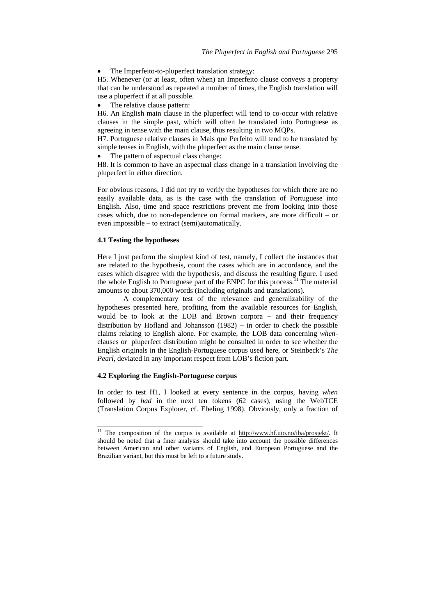The Imperfeito-to-pluperfect translation strategy:

H5. Whenever (or at least, often when) an Imperfeito clause conveys a property that can be understood as repeated a number of times, the English translation will use a pluperfect if at all possible.

The relative clause pattern:

H6. An English main clause in the pluperfect will tend to co-occur with relative clauses in the simple past, which will often be translated into Portuguese as agreeing in tense with the main clause, thus resulting in two MQPs.

H7. Portuguese relative clauses in Mais que Perfeito will tend to be translated by simple tenses in English, with the pluperfect as the main clause tense.

The pattern of aspectual class change:

H8. It is common to have an aspectual class change in a translation involving the pluperfect in either direction.

For obvious reasons, I did not try to verify the hypotheses for which there are no easily available data, as is the case with the translation of Portuguese into English. Also, time and space restrictions prevent me from looking into those cases which, due to non-dependence on formal markers, are more difficult – or even impossible – to extract (semi)automatically.

# **4.1 Testing the hypotheses**

l

Here I just perform the simplest kind of test, namely, I collect the instances that are related to the hypothesis, count the cases which are in accordance, and the cases which disagree with the hypothesis, and discuss the resulting figure. I used the whole English to Portuguese part of the ENPC for this process.<sup>11</sup> The material amounts to about 370,000 words (including originals and translations).

A complementary test of the relevance and generalizability of the hypotheses presented here, profiting from the available resources for English, would be to look at the LOB and Brown corpora – and their frequency distribution by Hofland and Johansson (1982) − in order to check the possible claims relating to English alone. For example, the LOB data concerning *when*clauses or pluperfect distribution might be consulted in order to see whether the English originals in the English-Portuguese corpus used here, or Steinbeck's *The Pearl*, deviated in any important respect from LOB's fiction part.

## **4.2 Exploring the English-Portuguese corpus**

In order to test H1, I looked at every sentence in the corpus, having *when* followed by *had* in the next ten tokens (62 cases), using the WebTCE (Translation Corpus Explorer, cf. Ebeling 1998). Obviously, only a fraction of

<sup>&</sup>lt;sup>11</sup> The composition of the corpus is available at  $\frac{http://www.hf.uio.no/iba/prosjekt/}{http://www.hf.uio.no/iba/prosjekt/}{http://www.hf.uio.no/iba/prosjekt/}{http://www.hf.uio.no/iba/prosjekt/}{http://www.hf.uio.no/iba/prosjekt/}{http://www.hf.uio.no/iba/prosjekt/}{http://www.hf.uio.no/iba/prosjekt/}{http://www.hf.uio.no/iba/prosjekt/}{http://www.hf.uio.no/iba/prosjekt/}{http://www.hf.uio.no/iba/prosjekt/}{http://www.hf.u$ should be noted that a finer analysis should take into account the possible differences between American and other variants of English, and European Portuguese and the Brazilian variant, but this must be left to a future study.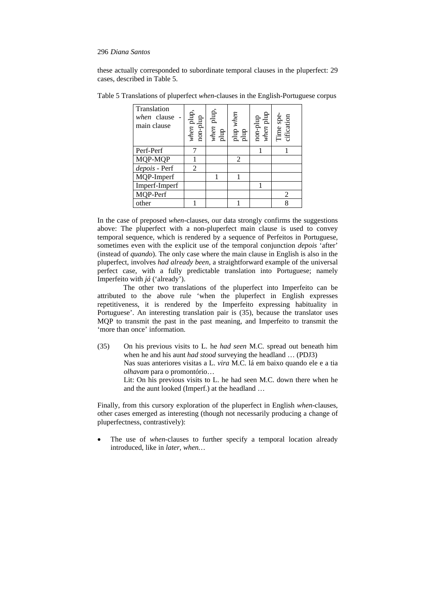these actually corresponded to subordinate temporal clauses in the pluperfect: 29 cases, described in Table 5.

| Translation<br>when clause<br>main clause | $\begin{minipage}{.4\linewidth} \textbf{when plug,} \\ \textbf{non-plug} \\ \end{minipage}$ | $\begin{tabular}{c} \hline \textit{when} \textit{plup}, \\ \textit{plup} \\ \textit{plup} \textit{when} \\ \textit{plup} \textit{when} \end{tabular}$ | $\begin{tabular}{c} non-plup \\ \hline \textit{when} plup \\ \textit{Time} \textit{spe} \\ \textit{cification} \end{tabular}$ |  |
|-------------------------------------------|---------------------------------------------------------------------------------------------|-------------------------------------------------------------------------------------------------------------------------------------------------------|-------------------------------------------------------------------------------------------------------------------------------|--|
| Perf-Perf                                 |                                                                                             |                                                                                                                                                       |                                                                                                                               |  |
| MQP-MQP                                   |                                                                                             | 2                                                                                                                                                     |                                                                                                                               |  |
| depois - Perf                             | 2                                                                                           |                                                                                                                                                       |                                                                                                                               |  |
| MQP-Imperf                                |                                                                                             |                                                                                                                                                       |                                                                                                                               |  |
| Imperf-Imperf                             |                                                                                             |                                                                                                                                                       |                                                                                                                               |  |
| MQP-Perf                                  |                                                                                             |                                                                                                                                                       | 2                                                                                                                             |  |
| other                                     |                                                                                             |                                                                                                                                                       | 8                                                                                                                             |  |

Table 5 Translations of pluperfect *when*-clauses in the English-Portuguese corpus

In the case of preposed *when*-clauses, our data strongly confirms the suggestions above: The pluperfect with a non-pluperfect main clause is used to convey temporal sequence, which is rendered by a sequence of Perfeitos in Portuguese, sometimes even with the explicit use of the temporal conjunction *depois* 'after' (instead of *quando*). The only case where the main clause in English is also in the pluperfect, involves *had already been*, a straightforward example of the universal perfect case, with a fully predictable translation into Portuguese; namely Imperfeito with *já* ('already').

The other two translations of the pluperfect into Imperfeito can be attributed to the above rule 'when the pluperfect in English expresses repetitiveness, it is rendered by the Imperfeito expressing habituality in Portuguese'. An interesting translation pair is (35), because the translator uses MQP to transmit the past in the past meaning, and Imperfeito to transmit the 'more than once' information.

(35) On his previous visits to L. he *had seen* M.C. spread out beneath him when he and his aunt *had stood* surveying the headland … (PDJ3) Nas suas anteriores visitas a L. *vira* M.C. lá em baixo quando ele e a tia *olhavam* para o promontório… Lit: On his previous visits to L. he had seen M.C. down there when he and the aunt looked (Imperf.) at the headland …

Finally, from this cursory exploration of the pluperfect in English *when*-clauses, other cases emerged as interesting (though not necessarily producing a change of pluperfectness, contrastively):

The use of *when*-clauses to further specify a temporal location already introduced, like in *later, when…*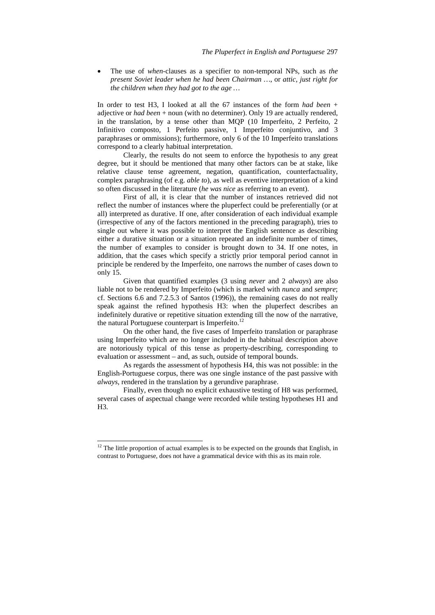• The use of *when*-clauses as a specifier to non-temporal NPs, such as *the present Soviet leader when he had been Chairman …*, or *attic, just right for the children when they had got to the age …* 

In order to test H3, I looked at all the 67 instances of the form *had been* + adjective or *had been* + noun (with no determiner). Only 19 are actually rendered, in the translation, by a tense other than MQP (10 Imperfeito, 2 Perfeito, 2 Infinitivo composto, 1 Perfeito passive, 1 Imperfeito conjuntivo, and 3 paraphrases or ommissions); furthermore, only 6 of the 10 Imperfeito translations correspond to a clearly habitual interpretation.

Clearly, the results do not seem to enforce the hypothesis to any great degree, but it should be mentioned that many other factors can be at stake, like relative clause tense agreement, negation, quantification, counterfactuality, complex paraphrasing (of e.g. *able to*), as well as eventive interpretation of a kind so often discussed in the literature (*he was nice* as referring to an event).

First of all, it is clear that the number of instances retrieved did not reflect the number of instances where the pluperfect could be preferentially (or at all) interpreted as durative. If one, after consideration of each individual example (irrespective of any of the factors mentioned in the preceding paragraph), tries to single out where it was possible to interpret the English sentence as describing either a durative situation or a situation repeated an indefinite number of times, the number of examples to consider is brought down to 34. If one notes, in addition, that the cases which specify a strictly prior temporal period cannot in principle be rendered by the Imperfeito, one narrows the number of cases down to only 15.

Given that quantified examples (3 using *never* and 2 *always*) are also liable not to be rendered by Imperfeito (which is marked with *nunca* and *sempre*; cf. Sections 6.6 and 7.2.5.3 of Santos (1996)), the remaining cases do not really speak against the refined hypothesis H3: when the pluperfect describes an indefinitely durative or repetitive situation extending till the now of the narrative, the natural Portuguese counterpart is Imperfeito.<sup>12</sup>

On the other hand, the five cases of Imperfeito translation or paraphrase using Imperfeito which are no longer included in the habitual description above are notoriously typical of this tense as property-describing, corresponding to evaluation or assessment – and, as such, outside of temporal bounds.

As regards the assessment of hypothesis H4, this was not possible: in the English-Portuguese corpus, there was one single instance of the past passive with *always*, rendered in the translation by a gerundive paraphrase.

Finally, even though no explicit exhaustive testing of H8 was performed, several cases of aspectual change were recorded while testing hypotheses H1 and H3.

l

 $12$  The little proportion of actual examples is to be expected on the grounds that English, in contrast to Portuguese, does not have a grammatical device with this as its main role.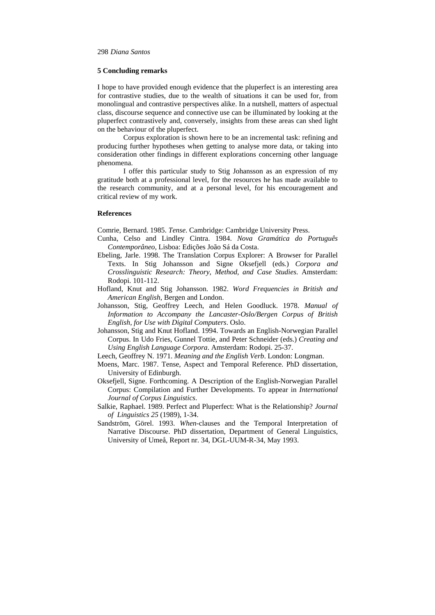## **5 Concluding remarks**

I hope to have provided enough evidence that the pluperfect is an interesting area for contrastive studies, due to the wealth of situations it can be used for, from monolingual and contrastive perspectives alike. In a nutshell, matters of aspectual class, discourse sequence and connective use can be illuminated by looking at the pluperfect contrastively and, conversely, insights from these areas can shed light on the behaviour of the pluperfect.

Corpus exploration is shown here to be an incremental task: refining and producing further hypotheses when getting to analyse more data, or taking into consideration other findings in different explorations concerning other language phenomena.

I offer this particular study to Stig Johansson as an expression of my gratitude both at a professional level, for the resources he has made available to the research community, and at a personal level, for his encouragement and critical review of my work.

## **References**

Comrie, Bernard. 1985. *Tense*. Cambridge: Cambridge University Press.

- Cunha, Celso and Lindley Cintra. 1984. *Nova Gramática do Português Contemporâneo*, Lisboa: Edições João Sá da Costa.
- Ebeling, Jarle. 1998. The Translation Corpus Explorer: A Browser for Parallel Texts. In Stig Johansson and Signe Oksefjell (eds*.*) *Corpora and Crosslinguistic Research: Theory, Method, and Case Studies*. Amsterdam: Rodopi. 101-112.
- Hofland, Knut and Stig Johansson. 1982. *Word Frequencies in British and American English*, Bergen and London.
- Johansson, Stig, Geoffrey Leech, and Helen Goodluck. 1978. *Manual of Information to Accompany the Lancaster-Oslo/Bergen Corpus of British English, for Use with Digital Computers*. Oslo.
- Johansson, Stig and Knut Hofland. 1994. Towards an English-Norwegian Parallel Corpus. In Udo Fries, Gunnel Tottie, and Peter Schneider (eds.) *Creating and Using English Language Corpora*. Amsterdam: Rodopi. 25-37.
- Leech, Geoffrey N. 1971. *Meaning and the English Verb*. London: Longman.
- Moens, Marc. 1987. Tense, Aspect and Temporal Reference. PhD dissertation, University of Edinburgh.
- Oksefjell, Signe. Forthcoming. A Description of the English-Norwegian Parallel Corpus: Compilation and Further Developments. To appear in *International Journal of Corpus Linguistics*.
- Salkie, Raphael. 1989. Perfect and Pluperfect: What is the Relationship? *Journal of Linguistics 25* (1989), 1-34.
- Sandström, Görel. 1993. *When*-clauses and the Temporal Interpretation of Narrative Discourse. PhD dissertation, Department of General Linguistics, University of Umeå, Report nr. 34, DGL-UUM-R-34, May 1993.